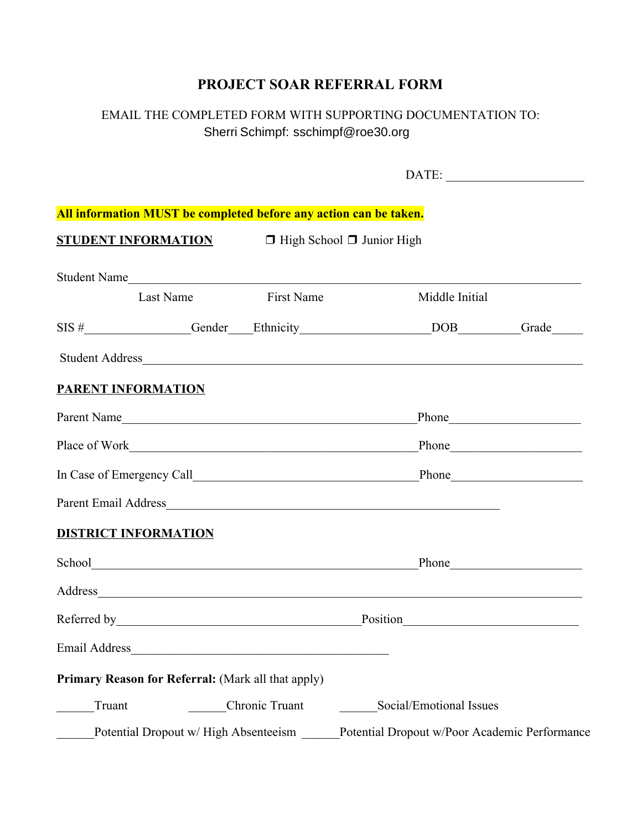## **PROJECT SOAR REFERRAL FORM**

## EMAIL THE COMPLETED FORM WITH SUPPORTING DOCUMENTATION TO: Jeremy Pierce jpierce@roe30.org Sherri Schimpf: sschimpf@roe30.org

| All information MUST be completed before any action can be taken. |                                      |                   |                                       |                                                                                                                                                                                                                                |  |  |
|-------------------------------------------------------------------|--------------------------------------|-------------------|---------------------------------------|--------------------------------------------------------------------------------------------------------------------------------------------------------------------------------------------------------------------------------|--|--|
| <b>STUDENT INFORMATION</b>                                        |                                      |                   | $\Box$ High School $\Box$ Junior High |                                                                                                                                                                                                                                |  |  |
| Student Name                                                      |                                      |                   |                                       |                                                                                                                                                                                                                                |  |  |
|                                                                   | Last Name                            | <b>First Name</b> |                                       | Middle Initial                                                                                                                                                                                                                 |  |  |
|                                                                   |                                      |                   |                                       | SIS #_______________Gender____Ethnicity______________________DOB________Grade_____                                                                                                                                             |  |  |
|                                                                   |                                      |                   |                                       |                                                                                                                                                                                                                                |  |  |
| <b>PARENT INFORMATION</b>                                         |                                      |                   |                                       |                                                                                                                                                                                                                                |  |  |
| Parent Name                                                       |                                      |                   |                                       |                                                                                                                                                                                                                                |  |  |
|                                                                   |                                      |                   |                                       |                                                                                                                                                                                                                                |  |  |
|                                                                   |                                      |                   |                                       |                                                                                                                                                                                                                                |  |  |
|                                                                   |                                      |                   |                                       |                                                                                                                                                                                                                                |  |  |
| <b>DISTRICT INFORMATION</b>                                       |                                      |                   |                                       |                                                                                                                                                                                                                                |  |  |
|                                                                   |                                      |                   |                                       |                                                                                                                                                                                                                                |  |  |
|                                                                   |                                      |                   |                                       | Address and the contract of the contract of the contract of the contract of the contract of the contract of the contract of the contract of the contract of the contract of the contract of the contract of the contract of th |  |  |
|                                                                   |                                      |                   |                                       | Position has a contract of the contract of the contract of the contract of the contract of the contract of the contract of the contract of the contract of the contract of the contract of the contract of the contract of the |  |  |
| Email Address                                                     |                                      |                   |                                       |                                                                                                                                                                                                                                |  |  |
| Primary Reason for Referral: (Mark all that apply)                |                                      |                   |                                       |                                                                                                                                                                                                                                |  |  |
| Truant                                                            |                                      | Chronic Truant    |                                       | Social/Emotional Issues                                                                                                                                                                                                        |  |  |
|                                                                   | Potential Dropout w/High Absenteeism |                   |                                       | Potential Dropout w/Poor Academic Performance                                                                                                                                                                                  |  |  |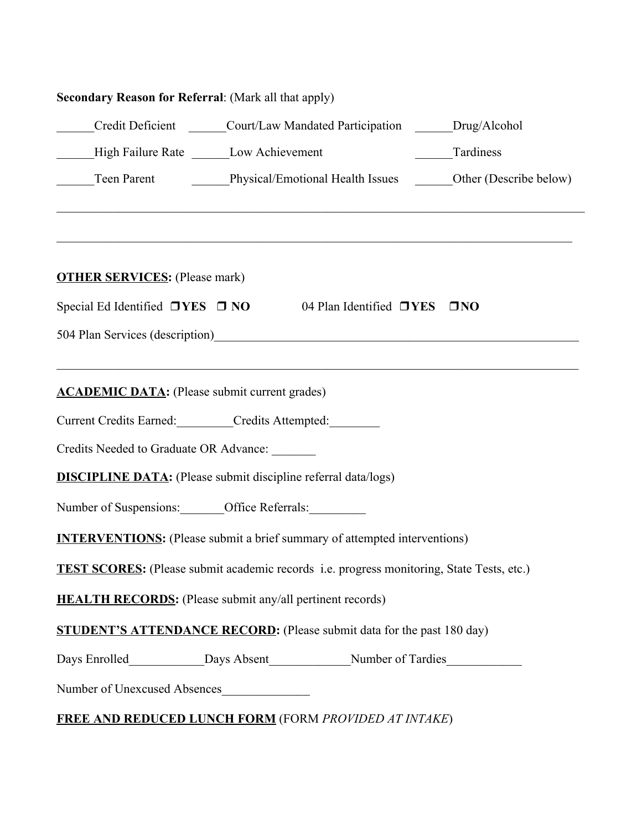| <b>Secondary Reason for Referral:</b> (Mark all that apply)                                                                                                                  |
|------------------------------------------------------------------------------------------------------------------------------------------------------------------------------|
| Credit Deficient ______Court/Law Mandated Participation ______Drug/Alcohol                                                                                                   |
| Tardiness<br>High Failure Rate ________ Low Achievement                                                                                                                      |
| Teen Parent Physical/Emotional Health Issues Cher (Describe below)                                                                                                           |
| <b>OTHER SERVICES:</b> (Please mark)                                                                                                                                         |
| Special Ed Identified □YES □ NO 04 Plan Identified □YES □ NO                                                                                                                 |
| 504 Plan Services (description)<br><u>Letter and the contract of the services</u> (description)                                                                              |
| <u> 1989 - Johann Barn, amerikan bernama di sebagai bernama dalam bernama dalam bernama dalam bernama dalam bern</u><br><b>ACADEMIC DATA:</b> (Please submit current grades) |
| Current Credits Earned: __________Credits Attempted: _________                                                                                                               |
| Credits Needed to Graduate OR Advance: _______                                                                                                                               |
| <b>DISCIPLINE DATA:</b> (Please submit discipline referral data/logs)                                                                                                        |
| Number of Suspensions: _______ Office Referrals: _________                                                                                                                   |
| <b>INTERVENTIONS:</b> (Please submit a brief summary of attempted interventions)                                                                                             |
| <b>TEST SCORES:</b> (Please submit academic records i.e. progress monitoring, State Tests, etc.)                                                                             |
| <b>HEALTH RECORDS:</b> (Please submit any/all pertinent records)                                                                                                             |
| <b>STUDENT'S ATTENDANCE RECORD:</b> (Please submit data for the past 180 day)                                                                                                |
|                                                                                                                                                                              |
| Number of Unexcused Absences                                                                                                                                                 |
| <b>FREE AND REDUCED LUNCH FORM</b> (FORM PROVIDED AT INTAKE)                                                                                                                 |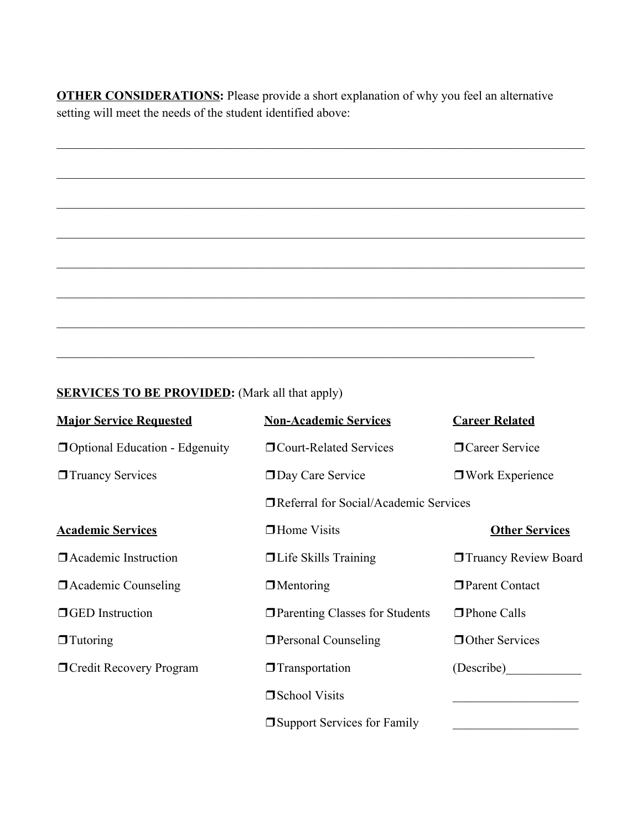**OTHER CONSIDERATIONS:** Please provide a short explanation of why you feel an alternative setting will meet the needs of the student identified above:

 $\mathcal{L}_\mathcal{L} = \{ \mathcal{L}_\mathcal{L} = \{ \mathcal{L}_\mathcal{L} = \{ \mathcal{L}_\mathcal{L} = \{ \mathcal{L}_\mathcal{L} = \{ \mathcal{L}_\mathcal{L} = \{ \mathcal{L}_\mathcal{L} = \{ \mathcal{L}_\mathcal{L} = \{ \mathcal{L}_\mathcal{L} = \{ \mathcal{L}_\mathcal{L} = \{ \mathcal{L}_\mathcal{L} = \{ \mathcal{L}_\mathcal{L} = \{ \mathcal{L}_\mathcal{L} = \{ \mathcal{L}_\mathcal{L} = \{ \mathcal{L}_\mathcal{$ 

 $\mathcal{L}_\mathcal{L} = \{ \mathcal{L}_\mathcal{L} = \{ \mathcal{L}_\mathcal{L} = \{ \mathcal{L}_\mathcal{L} = \{ \mathcal{L}_\mathcal{L} = \{ \mathcal{L}_\mathcal{L} = \{ \mathcal{L}_\mathcal{L} = \{ \mathcal{L}_\mathcal{L} = \{ \mathcal{L}_\mathcal{L} = \{ \mathcal{L}_\mathcal{L} = \{ \mathcal{L}_\mathcal{L} = \{ \mathcal{L}_\mathcal{L} = \{ \mathcal{L}_\mathcal{L} = \{ \mathcal{L}_\mathcal{L} = \{ \mathcal{L}_\mathcal{$ 

 $\mathcal{L}_\mathcal{L} = \{ \mathcal{L}_\mathcal{L} = \{ \mathcal{L}_\mathcal{L} = \{ \mathcal{L}_\mathcal{L} = \{ \mathcal{L}_\mathcal{L} = \{ \mathcal{L}_\mathcal{L} = \{ \mathcal{L}_\mathcal{L} = \{ \mathcal{L}_\mathcal{L} = \{ \mathcal{L}_\mathcal{L} = \{ \mathcal{L}_\mathcal{L} = \{ \mathcal{L}_\mathcal{L} = \{ \mathcal{L}_\mathcal{L} = \{ \mathcal{L}_\mathcal{L} = \{ \mathcal{L}_\mathcal{L} = \{ \mathcal{L}_\mathcal{$ 

 $\mathcal{L}_\mathcal{L} = \{ \mathcal{L}_\mathcal{L} = \{ \mathcal{L}_\mathcal{L} = \{ \mathcal{L}_\mathcal{L} = \{ \mathcal{L}_\mathcal{L} = \{ \mathcal{L}_\mathcal{L} = \{ \mathcal{L}_\mathcal{L} = \{ \mathcal{L}_\mathcal{L} = \{ \mathcal{L}_\mathcal{L} = \{ \mathcal{L}_\mathcal{L} = \{ \mathcal{L}_\mathcal{L} = \{ \mathcal{L}_\mathcal{L} = \{ \mathcal{L}_\mathcal{L} = \{ \mathcal{L}_\mathcal{L} = \{ \mathcal{L}_\mathcal{$ 

 $\mathcal{L}_\mathcal{L} = \{ \mathcal{L}_\mathcal{L} = \{ \mathcal{L}_\mathcal{L} = \{ \mathcal{L}_\mathcal{L} = \{ \mathcal{L}_\mathcal{L} = \{ \mathcal{L}_\mathcal{L} = \{ \mathcal{L}_\mathcal{L} = \{ \mathcal{L}_\mathcal{L} = \{ \mathcal{L}_\mathcal{L} = \{ \mathcal{L}_\mathcal{L} = \{ \mathcal{L}_\mathcal{L} = \{ \mathcal{L}_\mathcal{L} = \{ \mathcal{L}_\mathcal{L} = \{ \mathcal{L}_\mathcal{L} = \{ \mathcal{L}_\mathcal{$ 

 $\mathcal{L}_\mathcal{L} = \{ \mathcal{L}_\mathcal{L} = \{ \mathcal{L}_\mathcal{L} = \{ \mathcal{L}_\mathcal{L} = \{ \mathcal{L}_\mathcal{L} = \{ \mathcal{L}_\mathcal{L} = \{ \mathcal{L}_\mathcal{L} = \{ \mathcal{L}_\mathcal{L} = \{ \mathcal{L}_\mathcal{L} = \{ \mathcal{L}_\mathcal{L} = \{ \mathcal{L}_\mathcal{L} = \{ \mathcal{L}_\mathcal{L} = \{ \mathcal{L}_\mathcal{L} = \{ \mathcal{L}_\mathcal{L} = \{ \mathcal{L}_\mathcal{$ 

 $\mathcal{L}_\mathcal{L} = \{ \mathcal{L}_\mathcal{L} = \{ \mathcal{L}_\mathcal{L} = \{ \mathcal{L}_\mathcal{L} = \{ \mathcal{L}_\mathcal{L} = \{ \mathcal{L}_\mathcal{L} = \{ \mathcal{L}_\mathcal{L} = \{ \mathcal{L}_\mathcal{L} = \{ \mathcal{L}_\mathcal{L} = \{ \mathcal{L}_\mathcal{L} = \{ \mathcal{L}_\mathcal{L} = \{ \mathcal{L}_\mathcal{L} = \{ \mathcal{L}_\mathcal{L} = \{ \mathcal{L}_\mathcal{L} = \{ \mathcal{L}_\mathcal{$ 

 $\mathcal{L}_\text{max}$  , and the contribution of the contribution of the contribution of the contribution of the contribution of the contribution of the contribution of the contribution of the contribution of the contribution of t

## **SERVICES TO BE PROVIDED:** (Mark all that apply)

| <b>Major Service Requested</b>        | <b>Non-Academic Services</b>            | <b>Career Related</b>       |  |
|---------------------------------------|-----------------------------------------|-----------------------------|--|
| $\Box$ Optional Education - Edgenuity | <b>On</b> Court-Related Services        | <b>O</b> Career Service     |  |
| <b>T</b> Truancy Services             | <b>Day Care Service</b>                 | $\Box$ Work Experience      |  |
|                                       | □ Referral for Social/Academic Services |                             |  |
| <b>Academic Services</b>              | $\Box$ Home Visits                      | <b>Other Services</b>       |  |
| <b>D</b> Academic Instruction         | $\Box$ Life Skills Training             | <b>Truancy Review Board</b> |  |
| <b>Exercise 2</b> Academic Counseling | $\Box$ Mentoring                        | Parent Contact              |  |
| <b>SHOPED</b> Instruction             | <b>T</b> Parenting Classes for Students | $\Box$ Phone Calls          |  |
| $\Box$ Tutoring                       | <b>Personal Counseling</b>              | <b>Other Services</b>       |  |
| <b>O</b> Credit Recovery Program      | $\Box$ Transportation                   | (Describe)                  |  |
|                                       | □ School Visits                         |                             |  |
|                                       | $\Box$ Support Services for Family      |                             |  |